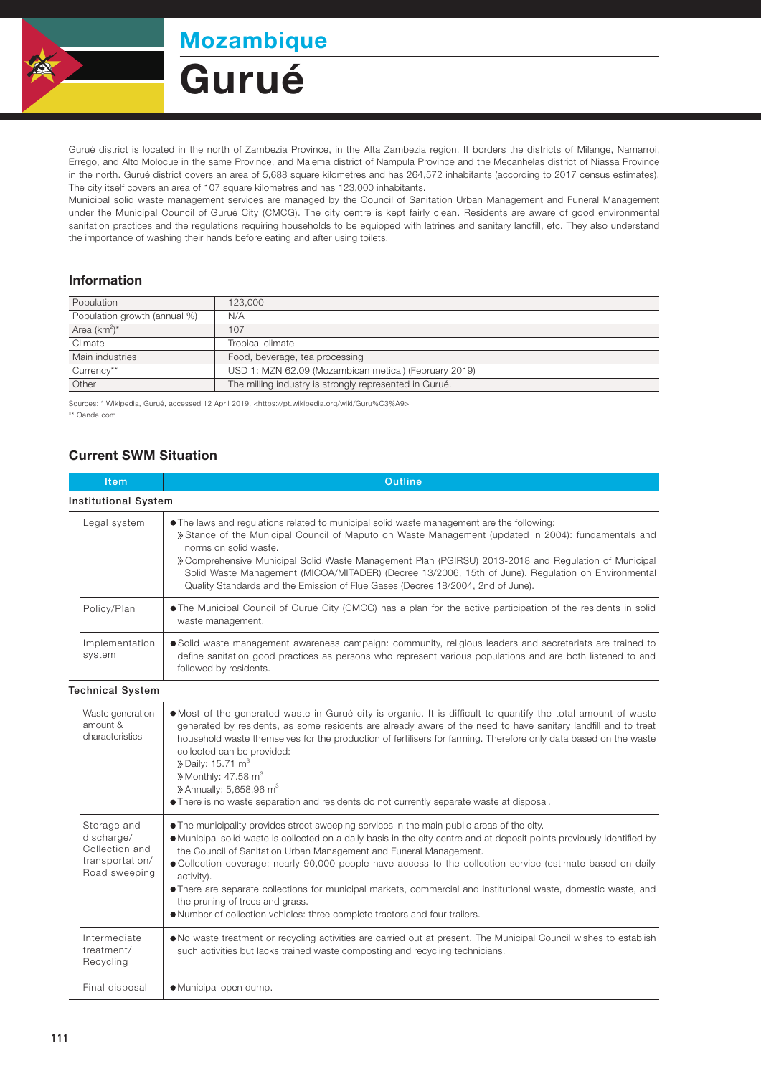

Mozambique

## Gurué

Gurué district is located in the north of Zambezia Province, in the Alta Zambezia region. It borders the districts of Milange, Namarroi, Errego, and Alto Molocue in the same Province, and Malema district of Nampula Province and the Mecanhelas district of Niassa Province in the north. Gurué district covers an area of 5,688 square kilometres and has 264,572 inhabitants (according to 2017 census estimates). The city itself covers an area of 107 square kilometres and has 123,000 inhabitants.

Municipal solid waste management services are managed by the Council of Sanitation Urban Management and Funeral Management under the Municipal Council of Gurué City (CMCG). The city centre is kept fairly clean. Residents are aware of good environmental sanitation practices and the regulations requiring households to be equipped with latrines and sanitary landfill, etc. They also understand the importance of washing their hands before eating and after using toilets.

## Information

| Population                   | 123,000                                                |  |
|------------------------------|--------------------------------------------------------|--|
| Population growth (annual %) | N/A                                                    |  |
| Area $(km^2)^*$              | 107                                                    |  |
| Climate                      | Tropical climate                                       |  |
| Main industries              | Food, beverage, tea processing                         |  |
| Currency**                   | USD 1: MZN 62.09 (Mozambican metical) (February 2019)  |  |
| Other                        | The milling industry is strongly represented in Gurué. |  |

Sources: \* Wikipedia, Gurué, accessed 12 April 2019, <https://pt.wikipedia.org/wiki/Guru%C3%A9> \*\* Oanda.com

Current SWM Situation

| <b>Item</b>                                                                     | Outline                                                                                                                                                                                                                                                                                                                                                                                                                                                                                                                                                                                                                                                      |  |  |  |
|---------------------------------------------------------------------------------|--------------------------------------------------------------------------------------------------------------------------------------------------------------------------------------------------------------------------------------------------------------------------------------------------------------------------------------------------------------------------------------------------------------------------------------------------------------------------------------------------------------------------------------------------------------------------------------------------------------------------------------------------------------|--|--|--|
| <b>Institutional System</b>                                                     |                                                                                                                                                                                                                                                                                                                                                                                                                                                                                                                                                                                                                                                              |  |  |  |
| Legal system                                                                    | • The laws and requlations related to municipal solid waste management are the following:<br>» Stance of the Municipal Council of Maputo on Waste Management (updated in 2004): fundamentals and<br>norms on solid waste.<br>» Comprehensive Municipal Solid Waste Management Plan (PGIRSU) 2013-2018 and Regulation of Municipal<br>Solid Waste Management (MICOA/MITADER) (Decree 13/2006, 15th of June). Regulation on Environmental<br>Quality Standards and the Emission of Flue Gases (Decree 18/2004, 2nd of June).                                                                                                                                   |  |  |  |
| Policy/Plan                                                                     | • The Municipal Council of Gurué City (CMCG) has a plan for the active participation of the residents in solid<br>waste management.                                                                                                                                                                                                                                                                                                                                                                                                                                                                                                                          |  |  |  |
| Implementation<br>system                                                        | · Solid waste management awareness campaign: community, religious leaders and secretariats are trained to<br>define sanitation good practices as persons who represent various populations and are both listened to and<br>followed by residents.                                                                                                                                                                                                                                                                                                                                                                                                            |  |  |  |
| <b>Technical System</b>                                                         |                                                                                                                                                                                                                                                                                                                                                                                                                                                                                                                                                                                                                                                              |  |  |  |
| Waste generation<br>amount &<br>characteristics                                 | • Most of the generated waste in Gurué city is organic. It is difficult to quantify the total amount of waste<br>generated by residents, as some residents are already aware of the need to have sanitary landfill and to treat<br>household waste themselves for the production of fertilisers for farming. Therefore only data based on the waste<br>collected can be provided:<br>» Daily: 15.71 m <sup>3</sup><br>» Monthly: 47.58 $m^3$<br>$\lambda$ Annually: 5,658.96 m <sup>3</sup><br>• There is no waste separation and residents do not currently separate waste at disposal.                                                                     |  |  |  |
| Storage and<br>discharge/<br>Collection and<br>transportation/<br>Road sweeping | • The municipality provides street sweeping services in the main public areas of the city.<br>• Municipal solid waste is collected on a daily basis in the city centre and at deposit points previously identified by<br>the Council of Sanitation Urban Management and Funeral Management.<br>• Collection coverage: nearly 90,000 people have access to the collection service (estimate based on daily<br>activity).<br>• There are separate collections for municipal markets, commercial and institutional waste, domestic waste, and<br>the pruning of trees and grass.<br>. Number of collection vehicles: three complete tractors and four trailers. |  |  |  |
| Intermediate<br>treatment/<br>Recycling                                         | • No waste treatment or recycling activities are carried out at present. The Municipal Council wishes to establish<br>such activities but lacks trained waste composting and recycling technicians.                                                                                                                                                                                                                                                                                                                                                                                                                                                          |  |  |  |
| Final disposal                                                                  | · Municipal open dump.                                                                                                                                                                                                                                                                                                                                                                                                                                                                                                                                                                                                                                       |  |  |  |